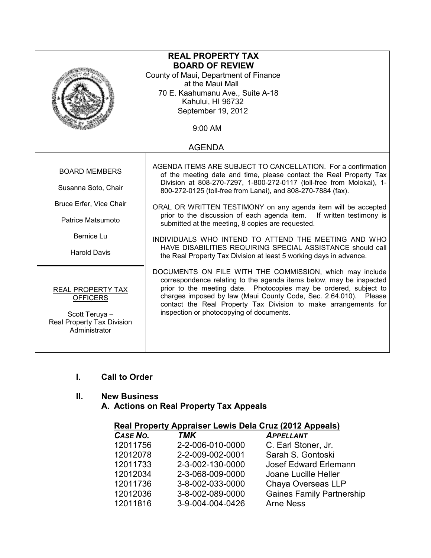| <b>REAL PROPERTY TAX</b><br><b>BOARD OF REVIEW</b><br>County of Maui, Department of Finance<br>at the Maui Mall<br>70 E. Kaahumanu Ave., Suite A-18<br>Kahului, HI 96732 |                                                                                                                                                                                                                                                                                                                                                                                                                                                                                                                                                                                                                                                                       |  |
|--------------------------------------------------------------------------------------------------------------------------------------------------------------------------|-----------------------------------------------------------------------------------------------------------------------------------------------------------------------------------------------------------------------------------------------------------------------------------------------------------------------------------------------------------------------------------------------------------------------------------------------------------------------------------------------------------------------------------------------------------------------------------------------------------------------------------------------------------------------|--|
| September 19, 2012<br>9:00 AM                                                                                                                                            |                                                                                                                                                                                                                                                                                                                                                                                                                                                                                                                                                                                                                                                                       |  |
|                                                                                                                                                                          | <b>AGENDA</b>                                                                                                                                                                                                                                                                                                                                                                                                                                                                                                                                                                                                                                                         |  |
| <b>BOARD MEMBERS</b><br>Susanna Soto, Chair<br>Bruce Erfer, Vice Chair<br>Patrice Matsumoto<br>Bernice Lu<br><b>Harold Davis</b>                                         | AGENDA ITEMS ARE SUBJECT TO CANCELLATION. For a confirmation<br>of the meeting date and time, please contact the Real Property Tax<br>Division at 808-270-7297, 1-800-272-0117 (toll-free from Molokai), 1-<br>800-272-0125 (toll-free from Lanai), and 808-270-7884 (fax).<br>ORAL OR WRITTEN TESTIMONY on any agenda item will be accepted<br>prior to the discussion of each agenda item. If written testimony is<br>submitted at the meeting, 8 copies are requested.<br>INDIVIDUALS WHO INTEND TO ATTEND THE MEETING AND WHO<br>HAVE DISABILITIES REQUIRING SPECIAL ASSISTANCE should call<br>the Real Property Tax Division at least 5 working days in advance. |  |
| <b>REAL PROPERTY TAX</b><br><b>OFFICERS</b><br>Scott Teruya -<br>Real Property Tax Division<br>Administrator                                                             | DOCUMENTS ON FILE WITH THE COMMISSION, which may include<br>correspondence relating to the agenda items below, may be inspected<br>prior to the meeting date. Photocopies may be ordered, subject to<br>charges imposed by law (Maui County Code, Sec. 2.64.010). Please<br>contact the Real Property Tax Division to make arrangements for<br>inspection or photocopying of documents.                                                                                                                                                                                                                                                                               |  |

# I. Call to Order

## II. New Business

A. Actions on Real Property Tax Appeals

| CASE NO. | <b>TMK</b>       | <b>APPELLANT</b>                 |
|----------|------------------|----------------------------------|
| 12011756 | 2-2-006-010-0000 | C. Earl Stoner, Jr.              |
| 12012078 | 2-2-009-002-0001 | Sarah S. Gontoski                |
| 12011733 | 2-3-002-130-0000 | Josef Edward Erlemann            |
| 12012034 | 2-3-068-009-0000 | Joane Lucille Heller             |
| 12011736 | 3-8-002-033-0000 | Chaya Overseas LLP               |
| 12012036 | 3-8-002-089-0000 | <b>Gaines Family Partnership</b> |
| 12011816 | 3-9-004-004-0426 | <b>Arne Ness</b>                 |
|          |                  |                                  |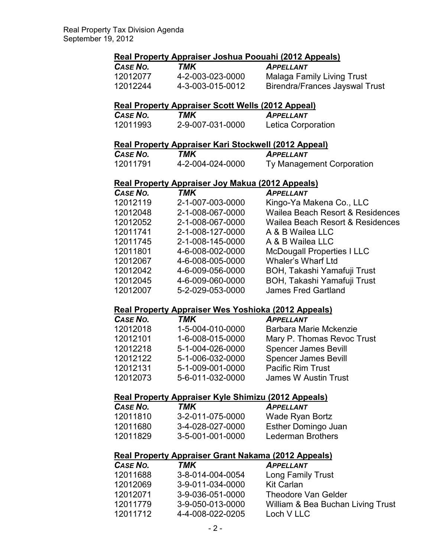### Real Property Appraiser Joshua Poouahi (2012 Appeals)

| CASE NO. | TMK              | <b>APPELLANT</b>               |
|----------|------------------|--------------------------------|
| 12012077 | 4-2-003-023-0000 | Malaga Family Living Trust     |
| 12012244 | 4-3-003-015-0012 | Birendra/Frances Jayswal Trust |

### Real Property Appraiser Scott Wells (2012 Appeal)

| CASE NO. | TMK              | <b>APPELLANT</b>   |
|----------|------------------|--------------------|
| 12011993 | 2-9-007-031-0000 | Letica Corporation |

#### Real Property Appraiser Kari Stockwell (2012 Appeal)

| CASE NO. | TMK              | <b>APPELLANT</b>          |
|----------|------------------|---------------------------|
| 12011791 | 4-2-004-024-0000 | Ty Management Corporation |

### Real Property Appraiser Joy Makua (2012 Appeals)

| CASE NO. | TMK              | <b>APPELLANT</b>                  |
|----------|------------------|-----------------------------------|
| 12012119 | 2-1-007-003-0000 | Kingo-Ya Makena Co., LLC          |
| 12012048 | 2-1-008-067-0000 | Wailea Beach Resort & Residences  |
| 12012052 | 2-1-008-067-0000 | Wailea Beach Resort & Residences  |
| 12011741 | 2-1-008-127-0000 | A & B Wailea LLC                  |
| 12011745 | 2-1-008-145-0000 | A & B Wailea LLC                  |
| 12011801 | 4-6-008-002-0000 | <b>McDougall Properties I LLC</b> |
| 12012067 | 4-6-008-005-0000 | Whaler's Wharf Ltd                |
| 12012042 | 4-6-009-056-0000 | BOH, Takashi Yamafuji Trust       |
| 12012045 | 4-6-009-060-0000 | BOH, Takashi Yamafuji Trust       |
| 12012007 | 5-2-029-053-0000 | <b>James Fred Gartland</b>        |

#### Real Property Appraiser Wes Yoshioka (2012 Appeals)

| CASE NO. | TMK              | <b>APPELLANT</b>            |
|----------|------------------|-----------------------------|
| 12012018 | 1-5-004-010-0000 | Barbara Marie Mckenzie      |
| 12012101 | 1-6-008-015-0000 | Mary P. Thomas Revoc Trust  |
| 12012218 | 5-1-004-026-0000 | <b>Spencer James Bevill</b> |
| 12012122 | 5-1-006-032-0000 | <b>Spencer James Bevill</b> |
| 12012131 | 5-1-009-001-0000 | <b>Pacific Rim Trust</b>    |
| 12012073 | 5-6-011-032-0000 | James W Austin Trust        |

### Real Property Appraiser Kyle Shimizu (2012 Appeals)

| Case No. | TMK              | <b>APPELLANT</b>         |
|----------|------------------|--------------------------|
| 12011810 | 3-2-011-075-0000 | Wade Ryan Bortz          |
| 12011680 | 3-4-028-027-0000 | Esther Domingo Juan      |
| 12011829 | 3-5-001-001-0000 | <b>Lederman Brothers</b> |

### Real Property Appraiser Grant Nakama (2012 Appeals)

| CASE NO. | TMK              | <b>APPELLANT</b>                  |
|----------|------------------|-----------------------------------|
| 12011688 | 3-8-014-004-0054 | <b>Long Family Trust</b>          |
| 12012069 | 3-9-011-034-0000 | <b>Kit Carlan</b>                 |
| 12012071 | 3-9-036-051-0000 | <b>Theodore Van Gelder</b>        |
| 12011779 | 3-9-050-013-0000 | William & Bea Buchan Living Trust |
| 12011712 | 4-4-008-022-0205 | Loch V LLC                        |